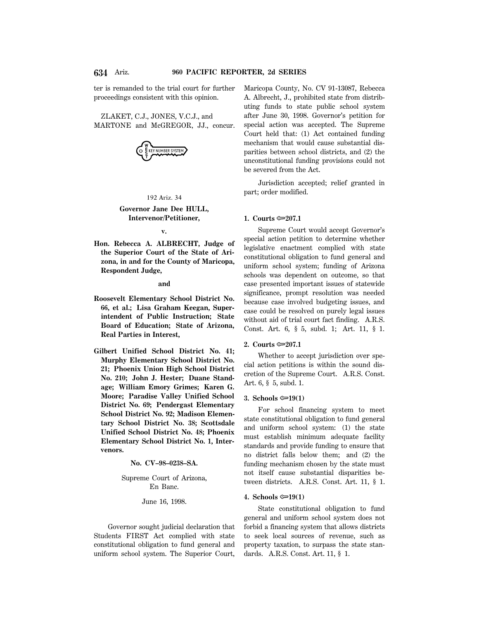ter is remanded to the trial court for further proceedings consistent with this opinion.

ZLAKET, C.J., JONES, V.C.J., and MARTONE and McGREGOR, JJ., concur.



192 Ariz. 34

## **Governor Jane Dee HULL, Intervenor/Petitioner,**

**v.**

**Hon. Rebecca A. ALBRECHT, Judge of the Superior Court of the State of Arizona, in and for the County of Maricopa, Respondent Judge,**

**and**

- **Roosevelt Elementary School District No. 66, et al.; Lisa Graham Keegan, Superintendent of Public Instruction; State Board of Education; State of Arizona, Real Parties in Interest,**
- **Gilbert Unified School District No. 41; Murphy Elementary School District No. 21; Phoenix Union High School District No. 210; John J. Hester; Duane Standage; William Emory Grimes; Karen G. Moore; Paradise Valley Unified School District No. 69; Pendergast Elementary School District No. 92; Madison Elementary School District No. 38; Scottsdale Unified School District No. 48; Phoenix Elementary School District No. 1, Intervenors.**

**No. CV–98–0238–SA.**

Supreme Court of Arizona, En Banc.

June 16, 1998.

Governor sought judicial declaration that Students FIRST Act complied with state constitutional obligation to fund general and uniform school system. The Superior Court,

Maricopa County, No. CV 91-13087, Rebecca A. Albrecht, J., prohibited state from distributing funds to state public school system after June 30, 1998. Governor's petition for special action was accepted. The Supreme Court held that: (1) Act contained funding mechanism that would cause substantial disparities between school districts, and (2) the unconstitutional funding provisions could not be severed from the Act.

Jurisdiction accepted; relief granted in part; order modified.

## **1. Courts**  $\approx 207.1$

Supreme Court would accept Governor's special action petition to determine whether legislative enactment complied with state constitutional obligation to fund general and uniform school system; funding of Arizona schools was dependent on outcome, so that case presented important issues of statewide significance, prompt resolution was needed because case involved budgeting issues, and case could be resolved on purely legal issues without aid of trial court fact finding. A.R.S. Const. Art. 6, § 5, subd. 1; Art. 11, § 1.

# **2. Courts ©**207.1

Whether to accept jurisdiction over special action petitions is within the sound discretion of the Supreme Court. A.R.S. Const. Art. 6, § 5, subd. 1.

#### **3. Schools** <del>∞</del>19(1)

For school financing system to meet state constitutional obligation to fund general and uniform school system: (1) the state must establish minimum adequate facility standards and provide funding to ensure that no district falls below them; and (2) the funding mechanism chosen by the state must not itself cause substantial disparities between districts. A.R.S. Const. Art. 11, § 1.

#### **4. Schools**  $\approx 19(1)$

State constitutional obligation to fund general and uniform school system does not forbid a financing system that allows districts to seek local sources of revenue, such as property taxation, to surpass the state standards. A.R.S. Const. Art. 11, § 1.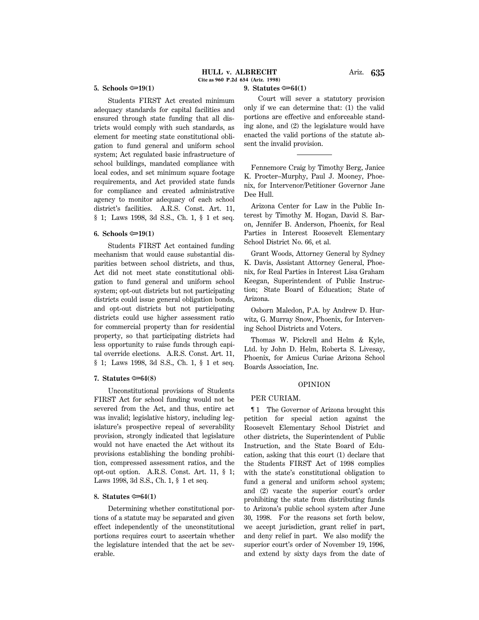## **5.** Schools  $\approx 19(1)$

Students FIRST Act created minimum adequacy standards for capital facilities and ensured through state funding that all districts would comply with such standards, as element for meeting state constitutional obligation to fund general and uniform school system; Act regulated basic infrastructure of school buildings, mandated compliance with local codes, and set minimum square footage requirements, and Act provided state funds for compliance and created administrative agency to monitor adequacy of each school district's facilities. A.R.S. Const. Art. 11, § 1; Laws 1998, 3d S.S., Ch. 1, § 1 et seq.

#### $6.$  Schools  $\approx 19(1)$

Students FIRST Act contained funding mechanism that would cause substantial disparities between school districts, and thus, Act did not meet state constitutional obligation to fund general and uniform school system; opt-out districts but not participating districts could issue general obligation bonds, and opt-out districts but not participating districts could use higher assessment ratio for commercial property than for residential property, so that participating districts had less opportunity to raise funds through capital override elections. A.R.S. Const. Art. 11, § 1; Laws 1998, 3d S.S., Ch. 1, § 1 et seq.

## **7.** Statutes  $\infty$  64(8)

Unconstitutional provisions of Students FIRST Act for school funding would not be severed from the Act, and thus, entire act was invalid; legislative history, including legislature's prospective repeal of severability provision, strongly indicated that legislature would not have enacted the Act without its provisions establishing the bonding prohibition, compressed assessment ratios, and the opt-out option. A.R.S. Const. Art. 11, § 1; Laws 1998, 3d S.S., Ch. 1, § 1 et seq.

## **8. Statutes <del>○ 64</del>(1)**

Determining whether constitutional portions of a statute may be separated and given effect independently of the unconstitutional portions requires court to ascertain whether the legislature intended that the act be severable.

## **9. Statutes** O**64(1)**

Court will sever a statutory provision only if we can determine that: (1) the valid portions are effective and enforceable standing alone, and (2) the legislature would have enacted the valid portions of the statute absent the invalid provision.

Fennemore Craig by Timothy Berg, Janice K. Procter–Murphy, Paul J. Mooney, Phoenix, for Intervenor/Petitioner Governor Jane Dee Hull.

Arizona Center for Law in the Public Interest by Timothy M. Hogan, David S. Baron, Jennifer B. Anderson, Phoenix, for Real Parties in Interest Roosevelt Elementary School District No. 66, et al.

Grant Woods, Attorney General by Sydney K. Davis, Assistant Attorney General, Phoenix, for Real Parties in Interest Lisa Graham Keegan, Superintendent of Public Instruction; State Board of Education; State of Arizona.

Osborn Maledon, P.A. by Andrew D. Hurwitz, G. Murray Snow, Phoenix, for Intervening School Districts and Voters.

Thomas W. Pickrell and Helm & Kyle, Ltd. by John D. Helm, Roberta S. Livesay, Phoenix, for Amicus Curiae Arizona School Boards Association, Inc.

#### OPINION

#### PER CURIAM.

¶ 1 The Governor of Arizona brought this petition for special action against the Roosevelt Elementary School District and other districts, the Superintendent of Public Instruction, and the State Board of Education, asking that this court (1) declare that the Students FIRST Act of 1998 complies with the state's constitutional obligation to fund a general and uniform school system; and (2) vacate the superior court's order prohibiting the state from distributing funds to Arizona's public school system after June 30, 1998. For the reasons set forth below, we accept jurisdiction, grant relief in part, and deny relief in part. We also modify the superior court's order of November 19, 1996, and extend by sixty days from the date of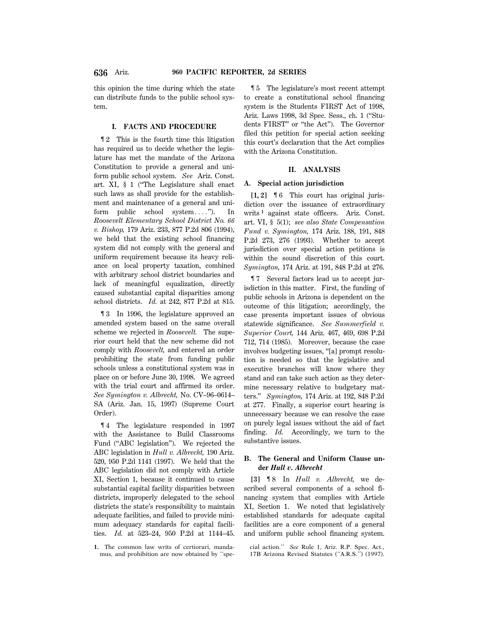this opinion the time during which the state can distribute funds to the public school system.

## **I. FACTS AND PROCEDURE**

¶ 2 This is the fourth time this litigation has required us to decide whether the legislature has met the mandate of the Arizona Constitution to provide a general and uniform public school system. *See* Ariz. Const. art. XI, § 1 (''The Legislature shall enact such laws as shall provide for the establishment and maintenance of a general and uniform public school system...."). In *Roosevelt Elementary School District No. 66 v. Bishop,* 179 Ariz. 233, 877 P.2d 806 (1994), we held that the existing school financing system did not comply with the general and uniform requirement because its heavy reliance on local property taxation, combined with arbitrary school district boundaries and lack of meaningful equalization, directly caused substantial capital disparities among school districts. *Id.* at 242, 877 P.2d at 815.

¶ 3 In 1996, the legislature approved an amended system based on the same overall scheme we rejected in *Roosevelt.* The superior court held that the new scheme did not comply with *Roosevelt,* and entered an order prohibiting the state from funding public schools unless a constitutional system was in place on or before June 30, 1998. We agreed with the trial court and affirmed its order. *See Symington v. Albrecht,* No. CV–96–0614– SA (Ariz. Jan. 15, 1997) (Supreme Court Order).

¶ 4 The legislature responded in 1997 with the Assistance to Build Classrooms Fund (''ABC legislation''). We rejected the ABC legislation in *Hull v. Albrecht,* 190 Ariz. 520, 950 P.2d 1141 (1997). We held that the ABC legislation did not comply with Article XI, Section 1, because it continued to cause substantial capital facility disparities between districts, improperly delegated to the school districts the state's responsibility to maintain adequate facilities, and failed to provide minimum adequacy standards for capital facilities. *Id.* at 523–24, 950 P.2d at 1144–45.

¶ 5 The legislature's most recent attempt to create a constitutional school financing system is the Students FIRST Act of 1998, Ariz. Laws 1998, 3d Spec. Sess., ch. 1 (''Students FIRST'' or ''the Act''). The Governor filed this petition for special action seeking this court's declaration that the Act complies with the Arizona Constitution.

#### **II. ANALYSIS**

#### **A. Special action jurisdiction**

**[1, 2]** ¶ 6 This court has original jurisdiction over the issuance of extraordinary writs **<sup>1</sup>** against state officers. Ariz. Const. art. VI, § 5(1); *see also State Compensation Fund v. Symington,* 174 Ariz. 188, 191, 848 P.2d 273, 276 (1993). Whether to accept jurisdiction over special action petitions is within the sound discretion of this court. *Symington,* 174 Ariz. at 191, 848 P.2d at 276.

¶ 7 Several factors lead us to accept jurisdiction in this matter. First, the funding of public schools in Arizona is dependent on the outcome of this litigation; accordingly, the case presents important issues of obvious statewide significance. *See Summerfield v. Superior Court,* 144 Ariz. 467, 469, 698 P.2d 712, 714 (1985). Moreover, because the case involves budgeting issues, ''[a] prompt resolution is needed so that the legislative and executive branches will know where they stand and can take such action as they determine necessary relative to budgetary matters.'' *Symington,* 174 Ariz. at 192, 848 P.2d at 277. Finally, a superior court hearing is unnecessary because we can resolve the case on purely legal issues without the aid of fact finding. *Id.* Accordingly, we turn to the substantive issues.

# **B. The General and Uniform Clause under** *Hull v. Albrecht*

**[3]** ¶ 8 In *Hull v. Albrecht,* we described several components of a school financing system that complies with Article XI, Section 1. We noted that legislatively established standards for adequate capital facilities are a core component of a general and uniform public school financing system.

**<sup>1.</sup>** The common law writs of certiorari, mandamus, and prohibition are now obtained by ''spe-

cial action.'' *See* Rule 1, Ariz. R.P. Spec. Act., 17B Arizona Revised Statutes (''A.R.S.'') (1997).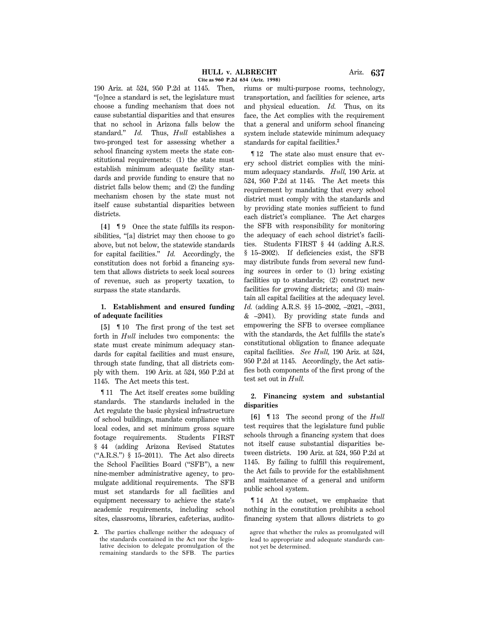190 Ariz. at 524, 950 P.2d at 1145. Then, ''[o]nce a standard is set, the legislature must choose a funding mechanism that does not cause substantial disparities and that ensures that no school in Arizona falls below the standard.'' *Id.* Thus, *Hull* establishes a two-pronged test for assessing whether a school financing system meets the state constitutional requirements: (1) the state must establish minimum adequate facility standards and provide funding to ensure that no district falls below them; and (2) the funding mechanism chosen by the state must not itself cause substantial disparities between districts.

**[4]** ¶ 9 Once the state fulfills its responsibilities, "[a] district may then choose to go above, but not below, the statewide standards for capital facilities.'' *Id.* Accordingly, the constitution does not forbid a financing system that allows districts to seek local sources of revenue, such as property taxation, to surpass the state standards.

# **1. Establishment and ensured funding of adequate facilities**

**[5]** ¶ 10 The first prong of the test set forth in *Hull* includes two components: the state must create minimum adequacy standards for capital facilities and must ensure, through state funding, that all districts comply with them. 190 Ariz. at 524, 950 P.2d at 1145. The Act meets this test.

¶ 11 The Act itself creates some building standards. The standards included in the Act regulate the basic physical infrastructure of school buildings, mandate compliance with local codes, and set minimum gross square footage requirements. Students FIRST § 44 (adding Arizona Revised Statutes (''A.R.S.'') § 15–2011). The Act also directs the School Facilities Board (''SFB''), a new nine-member administrative agency, to promulgate additional requirements. The SFB must set standards for all facilities and equipment necessary to achieve the state's academic requirements, including school sites, classrooms, libraries, cafeterias, auditoriums or multi-purpose rooms, technology, transportation, and facilities for science, arts and physical education. *Id.* Thus, on its face, the Act complies with the requirement that a general and uniform school financing system include statewide minimum adequacy standards for capital facilities.**<sup>2</sup>**

¶ 12 The state also must ensure that every school district complies with the minimum adequacy standards. *Hull,* 190 Ariz. at 524, 950 P.2d at 1145. The Act meets this requirement by mandating that every school district must comply with the standards and by providing state monies sufficient to fund each district's compliance. The Act charges the SFB with responsibility for monitoring the adequacy of each school district's facilities. Students FIRST § 44 (adding A.R.S. § 15–2002). If deficiencies exist, the SFB may distribute funds from several new funding sources in order to (1) bring existing facilities up to standards; (2) construct new facilities for growing districts; and (3) maintain all capital facilities at the adequacy level. *Id.* (adding A.R.S. §§ 15–2002, –2021, –2031,  $&$  –2041). By providing state funds and empowering the SFB to oversee compliance with the standards, the Act fulfills the state's constitutional obligation to finance adequate capital facilities. *See Hull,* 190 Ariz. at 524, 950 P.2d at 1145. Accordingly, the Act satisfies both components of the first prong of the test set out in *Hull.*

# **2. Financing system and substantial disparities**

**[6]** ¶ 13 The second prong of the *Hull* test requires that the legislature fund public schools through a financing system that does not itself cause substantial disparities between districts. 190 Ariz. at 524, 950 P.2d at 1145. By failing to fulfill this requirement, the Act fails to provide for the establishment and maintenance of a general and uniform public school system.

¶ 14 At the outset, we emphasize that nothing in the constitution prohibits a school financing system that allows districts to go

**<sup>2.</sup>** The parties challenge neither the adequacy of the standards contained in the Act nor the legislative decision to delegate promulgation of the remaining standards to the SFB. The parties

agree that whether the rules as promulgated will lead to appropriate and adequate standards cannot yet be determined.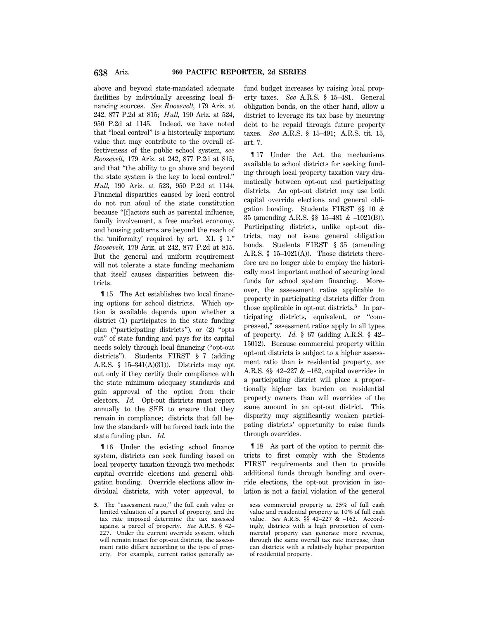above and beyond state-mandated adequate facilities by individually accessing local financing sources. *See Roosevelt,* 179 Ariz. at 242, 877 P.2d at 815; *Hull,* 190 Ariz. at 524, 950 P.2d at 1145. Indeed, we have noted that ''local control'' is a historically important value that may contribute to the overall effectiveness of the public school system, *see Roosevelt,* 179 Ariz. at 242, 877 P.2d at 815, and that ''the ability to go above and beyond the state system is the key to local control.'' *Hull,* 190 Ariz. at 523, 950 P.2d at 1144. Financial disparities caused by local control do not run afoul of the state constitution because ''[f]actors such as parental influence, family involvement, a free market economy, and housing patterns are beyond the reach of the 'uniformity' required by art. XI, § 1.'' *Roosevelt,* 179 Ariz. at 242, 877 P.2d at 815. But the general and uniform requirement will not tolerate a state funding mechanism that itself causes disparities between districts.

¶ 15 The Act establishes two local financing options for school districts. Which option is available depends upon whether a district (1) participates in the state funding plan (''participating districts''), or (2) ''opts out'' of state funding and pays for its capital needs solely through local financing (''opt-out districts''). Students FIRST § 7 (adding A.R.S. § 15–341(A)(31)). Districts may opt out only if they certify their compliance with the state minimum adequacy standards and gain approval of the option from their electors. *Id.* Opt-out districts must report annually to the SFB to ensure that they remain in compliance; districts that fall below the standards will be forced back into the state funding plan. *Id.*

¶ 16 Under the existing school finance system, districts can seek funding based on local property taxation through two methods: capital override elections and general obligation bonding. Override elections allow individual districts, with voter approval, to

fund budget increases by raising local property taxes. *See* A.R.S. § 15–481. General obligation bonds, on the other hand, allow a district to leverage its tax base by incurring debt to be repaid through future property taxes. *See* A.R.S. § 15–491; A.R.S. tit. 15, art. 7.

¶ 17 Under the Act, the mechanisms available to school districts for seeking funding through local property taxation vary dramatically between opt-out and participating districts. An opt-out district may use both capital override elections and general obligation bonding. Students FIRST §§ 10 & 35 (amending A.R.S. §§ 15–481 & –1021(B)). Participating districts, unlike opt-out districts, may not issue general obligation bonds. Students FIRST § 35 (amending A.R.S.  $§$  15–1021(A)). Those districts therefore are no longer able to employ the historically most important method of securing local funds for school system financing. Moreover, the assessment ratios applicable to property in participating districts differ from those applicable in opt-out districts.**<sup>3</sup>** In participating districts, equivalent, or ''compressed,'' assessment ratios apply to all types of property. *Id.* § 67 (adding A.R.S. § 42– 15012). Because commercial property within opt-out districts is subject to a higher assessment ratio than is residential property, *see* A.R.S. §§ 42–227 & –162, capital overrides in a participating district will place a proportionally higher tax burden on residential property owners than will overrides of the same amount in an opt-out district. This disparity may significantly weaken participating districts' opportunity to raise funds through overrides.

¶ 18 As part of the option to permit districts to first comply with the Students FIRST requirements and then to provide additional funds through bonding and override elections, the opt-out provision in isolation is not a facial violation of the general

**<sup>3.</sup>** The ''assessment ratio,'' the full cash value or limited valuation of a parcel of property, and the tax rate imposed determine the tax assessed against a parcel of property. *See* A.R.S. § 42– 227. Under the current override system, which will remain intact for opt-out districts, the assessment ratio differs according to the type of property. For example, current ratios generally as-

sess commercial property at 25% of full cash value and residential property at 10% of full cash value. *See* A.R.S. §§ 42–227 & –162. Accordingly, districts with a high proportion of commercial property can generate more revenue, through the same overall tax rate increase, than can districts with a relatively higher proportion of residential property.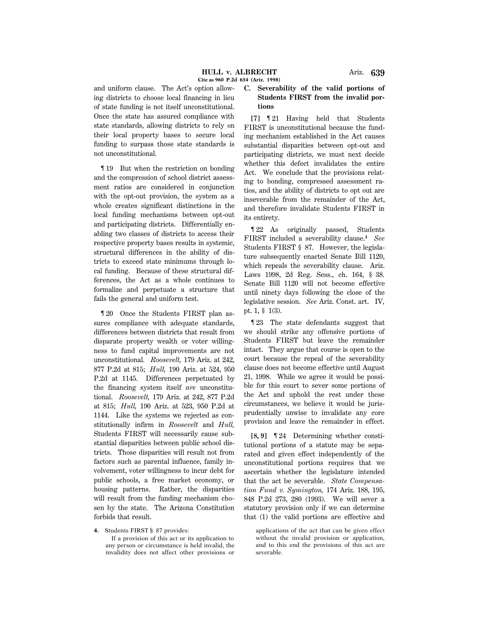and uniform clause. The Act's option allowing districts to choose local financing in lieu of state funding is not itself unconstitutional. Once the state has assured compliance with state standards, allowing districts to rely on their local property bases to secure local funding to surpass those state standards is not unconstitutional.

¶ 19 But when the restriction on bonding and the compression of school district assessment ratios are considered in conjunction with the opt-out provision, the system as a whole creates significant distinctions in the local funding mechanisms between opt-out and participating districts. Differentially enabling two classes of districts to access their respective property bases results in systemic, structural differences in the ability of districts to exceed state minimums through local funding. Because of these structural differences, the Act as a whole continues to formalize and perpetuate a structure that fails the general and uniform test.

¶ 20 Once the Students FIRST plan assures compliance with adequate standards, differences between districts that result from disparate property wealth or voter willingness to fund capital improvements are not unconstitutional. *Roosevelt,* 179 Ariz. at 242, 877 P.2d at 815; *Hull,* 190 Ariz. at 524, 950 P.2d at 1145. Differences perpetuated by the financing system itself *are* unconstitutional. *Roosevelt,* 179 Ariz. at 242, 877 P.2d at 815; *Hull,* 190 Ariz. at 523, 950 P.2d at 1144. Like the systems we rejected as constitutionally infirm in *Roosevelt* and *Hull,* Students FIRST will necessarily cause substantial disparities between public school districts. Those disparities will result not from factors such as parental influence, family involvement, voter willingness to incur debt for public schools, a free market economy, or housing patterns. Rather, the disparities will result from the funding mechanism chosen by the state. The Arizona Constitution forbids that result.

**4.** Students FIRST § 87 provides:

If a provision of this act or its application to any person or circumstance is held invalid, the invalidity does not affect other provisions or

# **C. Severability of the valid portions of Students FIRST from the invalid portions**

**[7]** ¶ 21 Having held that Students FIRST is unconstitutional because the funding mechanism established in the Act causes substantial disparities between opt-out and participating districts, we must next decide whether this defect invalidates the entire Act. We conclude that the provisions relating to bonding, compressed assessment ratios, and the ability of districts to opt out are inseverable from the remainder of the Act, and therefore invalidate Students FIRST in its entirety.

¶ 22 As originally passed, Students FIRST included a severability clause.**<sup>4</sup>** *See* Students FIRST § 87. However, the legislature subsequently enacted Senate Bill 1120, which repeals the severability clause. Ariz. Laws 1998, 2d Reg. Sess., ch. 164, § 38. Senate Bill 1120 will not become effective until ninety days following the close of the legislative session. *See* Ariz. Const. art. IV, pt. 1, § 1(3).

¶ 23 The state defendants suggest that we should strike any offensive portions of Students FIRST but leave the remainder intact. They argue that course is open to the court because the repeal of the severability clause does not become effective until August 21, 1998. While we agree it would be possible for this court to sever some portions of the Act and uphold the rest under these circumstances, we believe it would be jurisprudentially unwise to invalidate any core provision and leave the remainder in effect.

**[8, 9]** ¶ 24 Determining whether constitutional portions of a statute may be separated and given effect independently of the unconstitutional portions requires that we ascertain whether the legislature intended that the act be severable. *State Compensation Fund v. Symington,* 174 Ariz. 188, 195, 848 P.2d 273, 280 (1993). We will sever a statutory provision only if we can determine that (1) the valid portions are effective and

applications of the act that can be given effect without the invalid provision or application, and to this end the provisions of this act are severable.